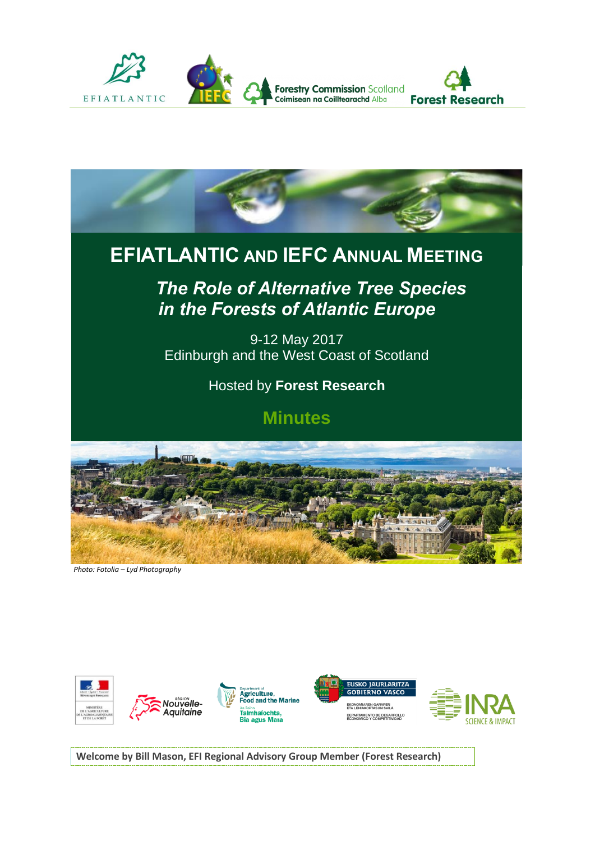



*Photo: Fotolia – Lyd Photography*



**Welcome by Bill Mason, EFI Regional Advisory Group Member (Forest Research)**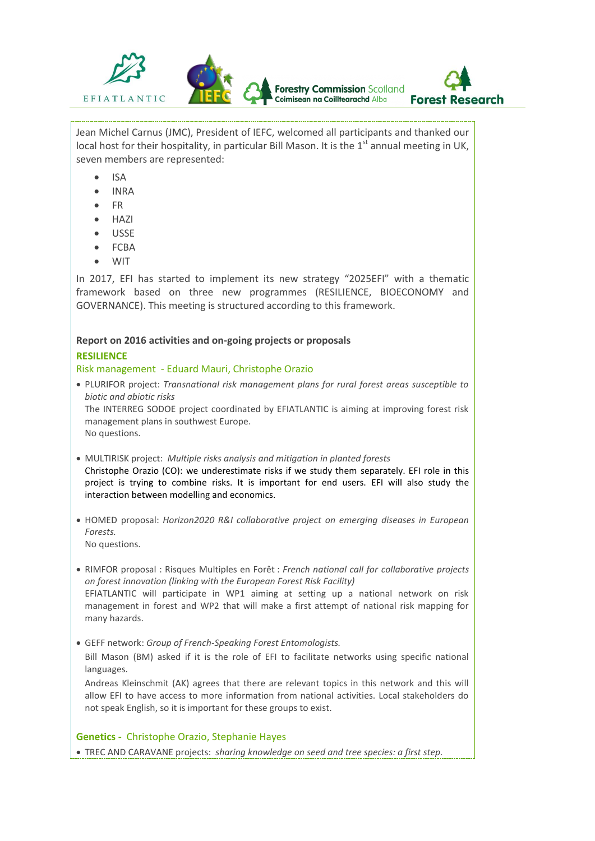

Jean Michel Carnus (JMC), President of IEFC, welcomed all participants and thanked our local host for their hospitality, in particular Bill Mason. It is the  $1<sup>st</sup>$  annual meeting in UK, seven members are represented:

- ISA
- INRA
- FR
- **HAZI**
- USSE
- FCBA
- **WIT**

In 2017, EFI has started to implement its new strategy "2025EFI" with a thematic framework based on three new programmes (RESILIENCE, BIOECONOMY and GOVERNANCE). This meeting is structured according to this framework.

# **Report on 2016 activities and on-going projects or proposals RESILIENCE**

## Risk management - Eduard Mauri, Christophe Orazio

 PLURIFOR project: *Transnational risk management plans for rural forest areas susceptible to biotic and abiotic risks*

The INTERREG SODOE project coordinated by EFIATLANTIC is aiming at improving forest risk management plans in southwest Europe. No questions.

- MULTIRISK project: *Multiple risks analysis and mitigation in planted forests* Christophe Orazio (CO): we underestimate risks if we study them separately. EFI role in this project is trying to combine risks. It is important for end users. EFI will also study the interaction between modelling and economics.
- HOMED proposal: *Horizon2020 R&I collaborative project on emerging diseases in European Forests.*  No questions.
- RIMFOR proposal : Risques Multiples en Forêt : *French national call for collaborative projects on forest innovation (linking with the European Forest Risk Facility)* EFIATLANTIC will participate in WP1 aiming at setting up a national network on risk management in forest and WP2 that will make a first attempt of national risk mapping for many hazards.
- GEFF network: *Group of French-Speaking Forest Entomologists.*

Bill Mason (BM) asked if it is the role of EFI to facilitate networks using specific national languages.

Andreas Kleinschmit (AK) agrees that there are relevant topics in this network and this will allow EFI to have access to more information from national activities. Local stakeholders do not speak English, so it is important for these groups to exist.

**Genetics -** Christophe Orazio, Stephanie Hayes

TREC AND CARAVANE projects: *sharing knowledge on seed and tree species: a first step.*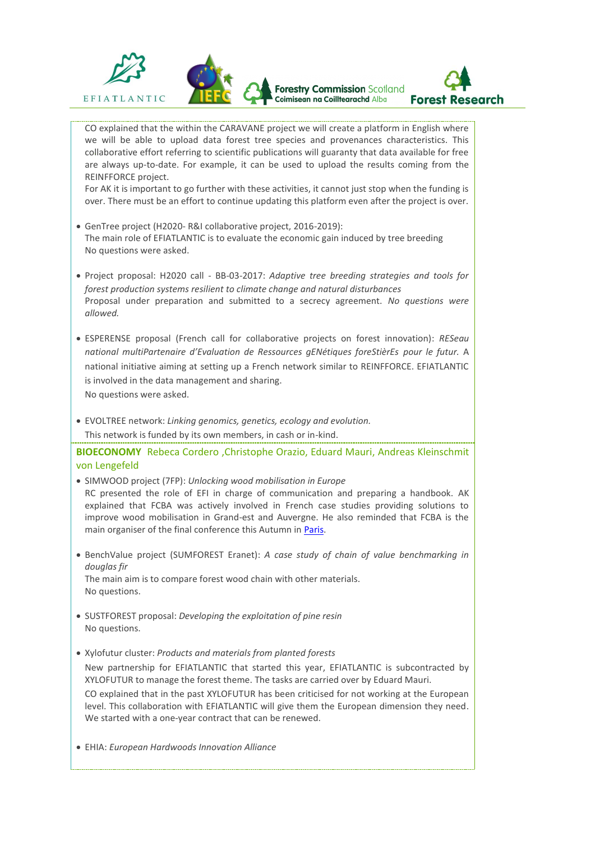

CO explained that the within the CARAVANE project we will create a platform in English where we will be able to upload data forest tree species and provenances characteristics. This collaborative effort referring to scientific publications will guaranty that data available for free are always up-to-date. For example, it can be used to upload the results coming from the REINFFORCE project.

For AK it is important to go further with these activities, it cannot just stop when the funding is over. There must be an effort to continue updating this platform even after the project is over.

- GenTree project (H2020- R&I collaborative project, 2016-2019): The main role of EFIATLANTIC is to evaluate the economic gain induced by tree breeding No questions were asked.
- Project proposal: H2020 call BB-03-2017: *Adaptive tree breeding strategies and tools for forest production systems resilient to climate change and natural disturbances* Proposal under preparation and submitted to a secrecy agreement. *No questions were allowed.*
- ESPERENSE proposal (French call for collaborative projects on forest innovation): *RESeau national multiPartenaire d'Evaluation de Ressources gENétiques foreStièrEs pour le futur.* A national initiative aiming at setting up a French network similar to REINFFORCE. EFIATLANTIC is involved in the data management and sharing. No questions were asked.
- EVOLTREE network: *Linking genomics, genetics, ecology and evolution.*  This network is funded by its own members, in cash or in-kind.

**BIOECONOMY** Rebeca Cordero ,Christophe Orazio, Eduard Mauri, Andreas Kleinschmit von Lengefeld

- SIMWOOD project (7FP): *Unlocking wood mobilisation in Europe* RC presented the role of EFI in charge of communication and preparing a handbook. AK explained that FCBA was actively involved in French case studies providing solutions to improve wood mobilisation in Grand-est and Auvergne. He also reminded that FCBA is the main organiser of the final conference this Autumn in [Paris.](https://www.bayfor.org/en/public-relations/final-conference-of-the-eu-project-simwood.html,v524)
- BenchValue project (SUMFOREST Eranet): *A case study of chain of value benchmarking in douglas fir*  The main aim is to compare forest wood chain with other materials. No questions.
- SUSTFOREST proposal: *Developing the exploitation of pine resin* No questions.
- Xylofutur cluster: *Products and materials from planted forests* New partnership for EFIATLANTIC that started this year, EFIATLANTIC is subcontracted by XYLOFUTUR to manage the forest theme. The tasks are carried over by Eduard Mauri. CO explained that in the past XYLOFUTUR has been criticised for not working at the European level. This collaboration with EFIATLANTIC will give them the European dimension they need. We started with a one-year contract that can be renewed.
- EHIA: *European Hardwoods Innovation Alliance*